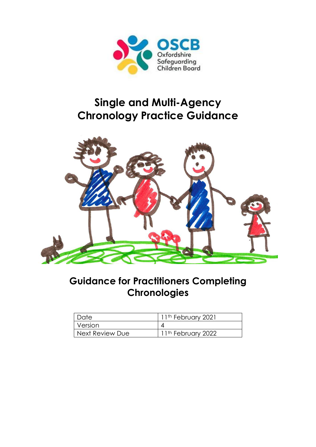

# **Single and Multi-Agency Chronology Practice Guidance**



# **Guidance for Practitioners Completing Chronologies**

| Date            | 11 <sup>th</sup> February 2021 |
|-----------------|--------------------------------|
| <i>Version</i>  |                                |
| Next Review Due | $ 11^{th}$ February 2022       |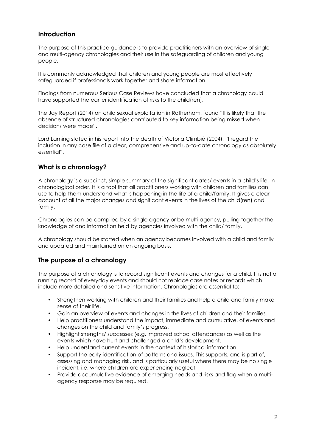# **Introduction**

The purpose of this practice guidance is to provide practitioners with an overview of single and multi-agency chronologies and their use in the safeguarding of children and young people.

It is commonly acknowledged that children and young people are most effectively safeguarded if professionals work together and share information.

Findings from numerous Serious Case Reviews have concluded that a chronology could have supported the earlier identification of risks to the child(ren).

The Jay Report (2014) on child sexual exploitation in Rotherham, found "It is likely that the absence of structured chronologies contributed to key information being missed when decisions were made".

Lord Laming stated in his report into the death of Victoria Climbié (2004), "I regard the inclusion in any case file of a clear, comprehensive and up-to-date chronology as absolutely essential".

# **What is a chronology?**

A chronology is a succinct, simple summary of the significant dates/ events in a child's life, in chronological order. It is a tool that all practitioners working with children and families can use to help them understand what is happening in the life of a child/family. It gives a clear account of all the major changes and significant events in the lives of the child(ren) and family.

Chronologies can be compiled by a single agency or be multi-agency, pulling together the knowledge of and information held by agencies involved with the child/ family.

A chronology should be started when an agency becomes involved with a child and family and updated and maintained on an ongoing basis.

# **The purpose of a chronology**

The purpose of a chronology is to record significant events and changes for a child. It is not a running record of everyday events and should not replace case notes or records which include more detailed and sensitive information. Chronologies are essential to:

- Strengthen working with children and their families and help a child and family make sense of their life.
- Gain an overview of events and changes in the lives of children and their families.
- Help practitioners understand the impact, immediate and cumulative, of events and changes on the child and family's progress.
- Highlight strengths/ successes (e.g. improved school attendance) as well as the events which have hurt and challenged a child's development.
- Help understand current events in the context of historical information.
- Support the early identification of patterns and issues. This supports, and is part of, assessing and managing risk, and is particularly useful where there may be no single incident, i.e. where children are experiencing neglect.
- Provide accumulative evidence of emerging needs and risks and flag when a multiagency response may be required.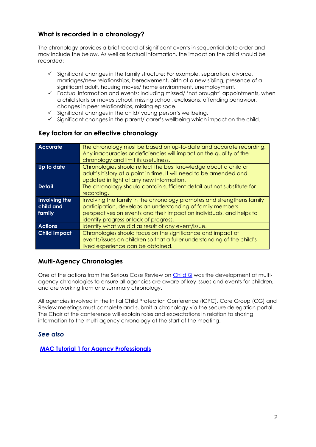# **What is recorded in a chronology?**

The chronology provides a brief record of significant events in sequential date order and may include the below. As well as factual information, the impact on the child should be recorded:

- $\checkmark$  Significant changes in the family structure: For example, separation, divorce, marriages/new relationships, bereavement, birth of a new sibling, presence of a significant adult, housing moves/ home environment, unemployment.
- ✓ Factual information and events: Including missed/ 'not brought' appointments, when a child starts or moves school, missing school, exclusions, offending behaviour, changes in peer relationships, missing episode.
- Significant changes in the child/ young person's wellbeing.
- $\checkmark$  Significant changes in the parent/ carer's wellbeing which impact on the child.

# **Key factors for an effective chronology**

| <b>Accurate</b>     | The chronology must be based on up-to-date and accurate recording.      |
|---------------------|-------------------------------------------------------------------------|
|                     | Any inaccuracies or deficiencies will impact on the quality of the      |
|                     | chronology and limit its usefulness.                                    |
| Up to date          | Chronologies should reflect the best knowledge about a child or         |
|                     |                                                                         |
|                     | adult's history at a point in time. It will need to be amended and      |
|                     | updated in light of any new information.                                |
| <b>Detail</b>       | The chronology should contain sufficient detail but not substitute for  |
|                     | recording.                                                              |
| Involving the       | Involving the family in the chronology promotes and strengthens family  |
| child and           | participation, develops an understanding of family members              |
| family              | perspectives on events and their impact on individuals, and helps to    |
|                     | identify progress or lack of progress.                                  |
| <b>Actions</b>      | Identify what we did as result of any event/issue.                      |
| <b>Child Impact</b> | Chronologies should focus on the significance and impact of             |
|                     | events/issues on children so that a fuller understanding of the child's |
|                     | lived experience can be obtained.                                       |

# **Multi-Agency Chronologies**

One of the actions from the Serious Case Review on  $Child Q$  was the development of multiagency chronologies to ensure all agencies are aware of key issues and events for children, and are working from one summary chronology.

All agencies involved in the Initial Child Protection Conference (ICPC), Core Group (CG) and Review meetings must complete and submit a chronology via the secure delegation portal. The Chair of the conference will explain roles and expectations in relation to sharing information to the multi-agency chronology at the start of the meeting.

# *See also*

**[MAC Tutorial 1 for Agency Professionals](https://www.oscb.org.uk/documents/multi-agency-chronology-tutorial-for-agency-professionals/)**